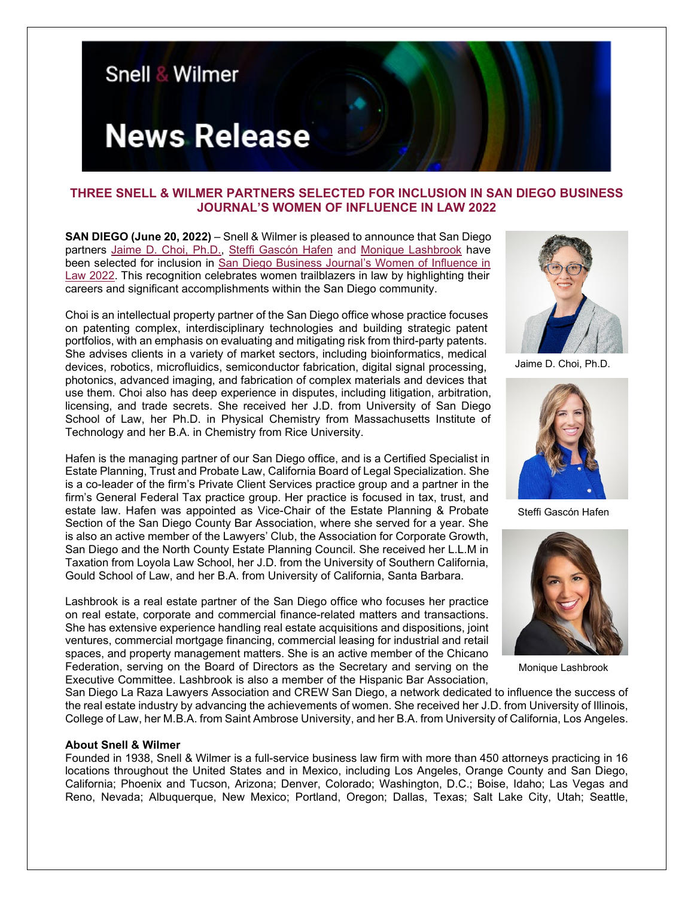

## **THREE SNELL & WILMER PARTNERS SELECTED FOR INCLUSION IN SAN DIEGO BUSINESS JOURNAL'S WOMEN OF INFLUENCE IN LAW 2022**

**SAN DIEGO (June 20, 2022)** – Snell & Wilmer is pleased to announce that San Diego partners [Jaime D. Choi, Ph.D.,](https://www.swlaw.com/people/jaime_choi) [Steffi Gascón Hafen](https://www.swlaw.com/people/steffi_gascon) and [Monique Lashbrook](https://www.swlaw.com/people/monique_lashbrook) have been selected for inclusion in [San Diego Business Journal's Women of Influence in](https://ocbj.media.clients.ellingtoncms.com/news/documents/2022/06/17/Women_in_Law_2022_Honorees.pdf)  [Law 2022.](https://ocbj.media.clients.ellingtoncms.com/news/documents/2022/06/17/Women_in_Law_2022_Honorees.pdf) This recognition celebrates women trailblazers in law by highlighting their careers and significant accomplishments within the San Diego community.

Choi is an intellectual property partner of the San Diego office whose practice focuses on patenting complex, interdisciplinary technologies and building strategic patent portfolios, with an emphasis on evaluating and mitigating risk from third-party patents. She advises clients in a variety of market sectors, including bioinformatics, medical devices, robotics, microfluidics, semiconductor fabrication, digital signal processing, photonics, advanced imaging, and fabrication of complex materials and devices that use them. Choi also has deep experience in disputes, including litigation, arbitration, licensing, and trade secrets. She received her J.D. from University of San Diego School of Law, her Ph.D. in Physical Chemistry from Massachusetts Institute of Technology and her B.A. in Chemistry from Rice University.

Hafen is the managing partner of our San Diego office, and is a Certified Specialist in Estate Planning, Trust and Probate Law, California Board of Legal Specialization. She is a co-leader of the firm's Private Client Services practice group and a partner in the firm's General Federal Tax practice group. Her practice is focused in tax, trust, and estate law. Hafen was appointed as Vice-Chair of the Estate Planning & Probate Section of the San Diego County Bar Association, where she served for a year. She is also an active member of the Lawyers' Club, the Association for Corporate Growth, San Diego and the North County Estate Planning Council. She received her L.L.M in Taxation from Loyola Law School, her J.D. from the University of Southern California, Gould School of Law, and her B.A. from University of California, Santa Barbara.

Lashbrook is a real estate partner of the San Diego office who focuses her practice on real estate, corporate and commercial finance-related matters and transactions. She has extensive experience handling real estate acquisitions and dispositions, joint ventures, commercial mortgage financing, commercial leasing for industrial and retail spaces, and property management matters. She is an active member of the Chicano Federation, serving on the Board of Directors as the Secretary and serving on the Executive Committee. Lashbrook is also a member of the Hispanic Bar Association,



Jaime D. Choi, Ph.D.



Steffi Gascón Hafen



Monique Lashbrook

San Diego La Raza Lawyers Association and CREW San Diego, a network dedicated to influence the success of the real estate industry by advancing the achievements of women. She received her J.D. from University of Illinois, College of Law, her M.B.A. from Saint Ambrose University, and her B.A. from University of California, Los Angeles.

## **About Snell & Wilmer**

Founded in 1938, Snell & Wilmer is a full-service business law firm with more than 450 attorneys practicing in 16 locations throughout the United States and in Mexico, including Los Angeles, Orange County and San Diego, California; Phoenix and Tucson, Arizona; Denver, Colorado; Washington, D.C.; Boise, Idaho; Las Vegas and Reno, Nevada; Albuquerque, New Mexico; Portland, Oregon; Dallas, Texas; Salt Lake City, Utah; Seattle,